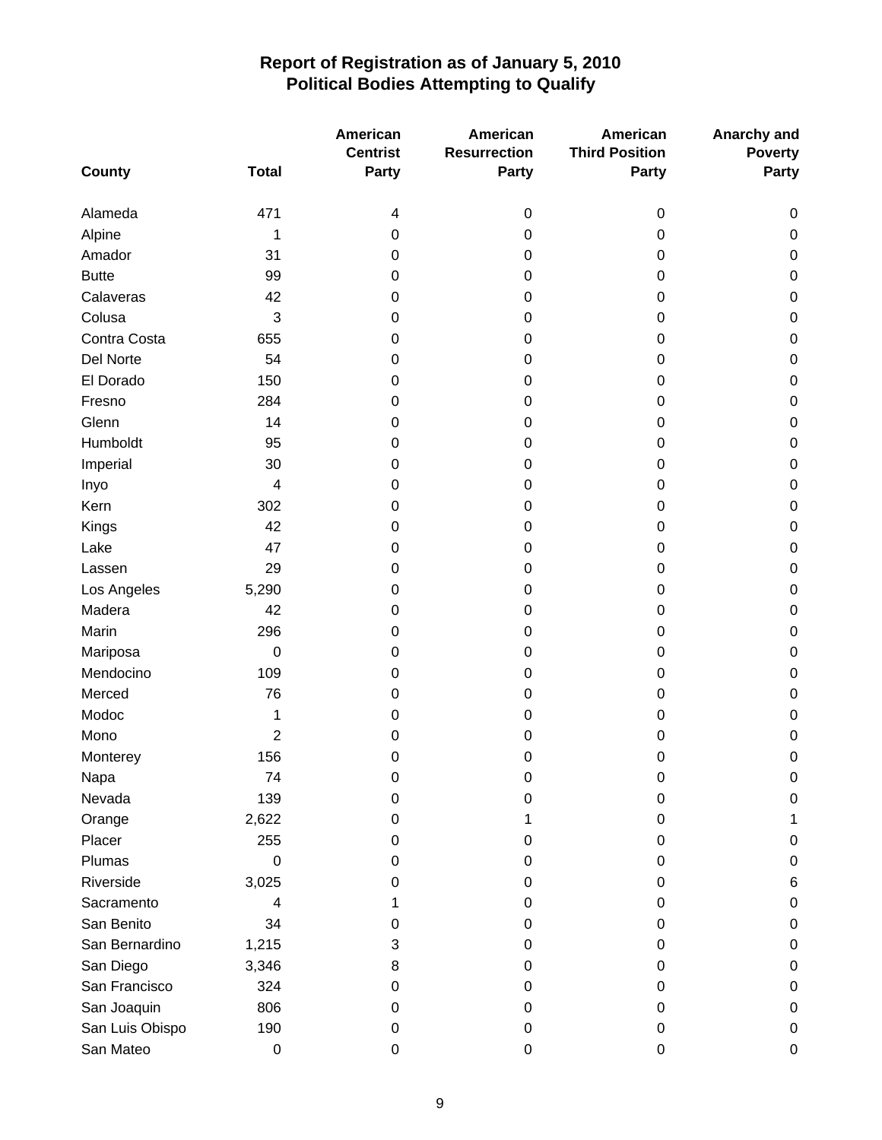|                 |                  | American<br><b>Centrist</b> | <b>American</b><br><b>Resurrection</b> | American<br><b>Third Position</b> | Anarchy and<br><b>Poverty</b> |
|-----------------|------------------|-----------------------------|----------------------------------------|-----------------------------------|-------------------------------|
| <b>County</b>   | <b>Total</b>     | <b>Party</b>                | Party                                  | Party                             | Party                         |
| Alameda         | 471              | 4                           | $\boldsymbol{0}$                       | $\mathbf 0$                       | 0                             |
| Alpine          | 1                | 0                           | 0                                      | 0                                 | $\pmb{0}$                     |
| Amador          | 31               | 0                           | 0                                      | 0                                 | $\pmb{0}$                     |
| <b>Butte</b>    | 99               | 0                           | 0                                      | 0                                 | $\boldsymbol{0}$              |
| Calaveras       | 42               | 0                           | 0                                      | 0                                 | $\pmb{0}$                     |
| Colusa          | 3                | 0                           | 0                                      | 0                                 | $\pmb{0}$                     |
| Contra Costa    | 655              | 0                           | 0                                      | 0                                 | $\boldsymbol{0}$              |
| Del Norte       | 54               | 0                           | 0                                      | 0                                 | $\pmb{0}$                     |
| El Dorado       | 150              | 0                           | 0                                      | 0                                 | $\boldsymbol{0}$              |
| Fresno          | 284              | 0                           | 0                                      | 0                                 | $\pmb{0}$                     |
| Glenn           | 14               | 0                           | 0                                      | 0                                 | $\pmb{0}$                     |
| Humboldt        | 95               | 0                           | 0                                      | 0                                 | $\pmb{0}$                     |
| Imperial        | 30               | 0                           | 0                                      | 0                                 | $\pmb{0}$                     |
| Inyo            | $\overline{4}$   | 0                           | 0                                      | 0                                 | $\boldsymbol{0}$              |
| Kern            | 302              | 0                           | 0                                      | 0                                 | $\boldsymbol{0}$              |
| Kings           | 42               | 0                           | 0                                      | 0                                 | $\boldsymbol{0}$              |
| Lake            | 47               | 0                           | 0                                      | 0                                 | $\pmb{0}$                     |
| Lassen          | 29               | 0                           | 0                                      | 0                                 | $\pmb{0}$                     |
| Los Angeles     | 5,290            | 0                           | 0                                      | 0                                 | $\pmb{0}$                     |
| Madera          | 42               | 0                           | 0                                      | 0                                 | $\boldsymbol{0}$              |
| Marin           | 296              | 0                           | 0                                      | 0                                 | $\boldsymbol{0}$              |
| Mariposa        | $\mathbf 0$      | 0                           | 0                                      | 0                                 | $\boldsymbol{0}$              |
| Mendocino       | 109              | 0                           | 0                                      | 0                                 | $\boldsymbol{0}$              |
| Merced          | 76               | 0                           | 0                                      | 0                                 | $\pmb{0}$                     |
| Modoc           | 1                | 0                           | 0                                      | 0                                 | $\boldsymbol{0}$              |
| Mono            | $\overline{2}$   | 0                           | 0                                      | 0                                 | $\boldsymbol{0}$              |
| Monterey        | 156              | 0                           | 0                                      | $\mathbf 0$                       | $\boldsymbol{0}$              |
| Napa            | 74               | 0                           | $\mathbf 0$                            | $\boldsymbol{0}$                  | 0                             |
| Nevada          | 139              | 0                           | 0                                      | 0                                 | $\pmb{0}$                     |
| Orange          | 2,622            | 0                           | 1                                      | 0                                 | 1                             |
| Placer          | 255              | 0                           | 0                                      | 0                                 | $\pmb{0}$                     |
| Plumas          | $\mathbf 0$      | 0                           | 0                                      | 0                                 | $\pmb{0}$                     |
| Riverside       | 3,025            | 0                           | 0                                      | 0                                 | 6                             |
| Sacramento      | 4                |                             | 0                                      | 0                                 | 0                             |
| San Benito      | 34               | 0                           | 0                                      | 0                                 | $\pmb{0}$                     |
| San Bernardino  | 1,215            | 3                           | 0                                      | 0                                 | $\pmb{0}$                     |
| San Diego       | 3,346            | 8                           | 0                                      | 0                                 | $\pmb{0}$                     |
| San Francisco   | 324              | 0                           | 0                                      | 0                                 | $\pmb{0}$                     |
| San Joaquin     | 806              | 0                           | 0                                      | 0                                 | $\pmb{0}$                     |
| San Luis Obispo | 190              | 0                           | $\mathbf 0$                            | 0                                 | $\pmb{0}$                     |
| San Mateo       | $\boldsymbol{0}$ | $\pmb{0}$                   | $\pmb{0}$                              | $\pmb{0}$                         | $\pmb{0}$                     |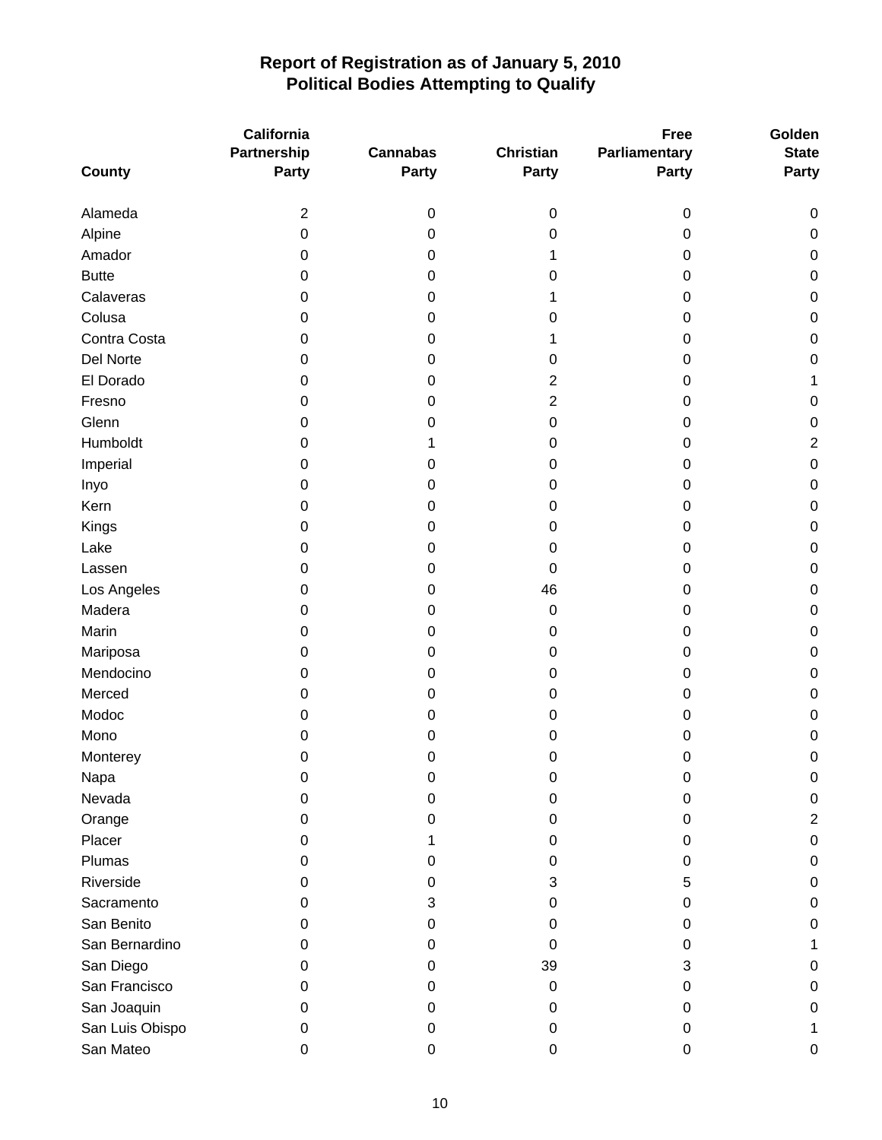|                 | California       |                 |                  | <b>Free</b>   | Golden         |
|-----------------|------------------|-----------------|------------------|---------------|----------------|
|                 | Partnership      | <b>Cannabas</b> | <b>Christian</b> | Parliamentary | <b>State</b>   |
| <b>County</b>   | <b>Party</b>     | <b>Party</b>    | Party            | <b>Party</b>  | <b>Party</b>   |
|                 |                  |                 |                  |               |                |
| Alameda         | $\overline{2}$   | 0               | 0                | $\pmb{0}$     | 0              |
| Alpine          | $\boldsymbol{0}$ | 0               | 0                | 0             | 0              |
| Amador          | 0                | 0               | 1                | 0             | 0              |
| <b>Butte</b>    | 0                | 0               | 0                | 0             | $\pmb{0}$      |
| Calaveras       | 0                | 0               | 1                | 0             | $\pmb{0}$      |
| Colusa          | 0                | 0               | 0                | 0             | $\pmb{0}$      |
| Contra Costa    | 0                | 0               | 1                | 0             | $\mathbf 0$    |
| Del Norte       | 0                | 0               | 0                | 0             | $\mathbf 0$    |
| El Dorado       | 0                | 0               | $\overline{c}$   | 0             | 1              |
| Fresno          | 0                | 0               | 2                | 0             | $\pmb{0}$      |
| Glenn           | 0                | 0               | 0                | 0             | $\pmb{0}$      |
| Humboldt        | 0                | 1               | 0                | 0             | $\overline{c}$ |
| Imperial        | 0                | 0               | 0                | 0             | $\pmb{0}$      |
| Inyo            | 0                | 0               | 0                | 0             | $\pmb{0}$      |
| Kern            | 0                | 0               | 0                | 0             | $\mathbf 0$    |
| Kings           | 0                | 0               | 0                | 0             | $\mathbf 0$    |
| Lake            | 0                | 0               | 0                | 0             | $\pmb{0}$      |
| Lassen          | 0                | 0               | $\Omega$         | 0             | $\pmb{0}$      |
| Los Angeles     | 0                | 0               | 46               | 0             | $\pmb{0}$      |
| Madera          | 0                | 0               | 0                | 0             | $\mathbf 0$    |
| Marin           | 0                | 0               | 0                | 0             | $\mathbf 0$    |
| Mariposa        | 0                | 0               | 0                | 0             | $\mathbf 0$    |
| Mendocino       | 0                | 0               | 0                | 0             | $\mathbf 0$    |
| Merced          | 0                | 0               | 0                | 0             | $\pmb{0}$      |
| Modoc           | 0                | 0               | 0                | 0             | $\mathbf 0$    |
| Mono            | 0                | 0               | 0                | 0             | $\mathbf 0$    |
| Monterey        | $\pmb{0}$        | 0               | 0                | 0             | $\mathbf 0$    |
| Napa            | 0                | 0               | 0                | 0             | 0              |
| Nevada          | 0                | 0               | 0                | 0             | $\mathbf 0$    |
| Orange          | 0                | 0               | 0                | 0             | $\overline{c}$ |
| Placer          | 0                |                 | 0                | 0             | $\pmb{0}$      |
| Plumas          | 0                | 0               | 0                | 0             | $\pmb{0}$      |
| Riverside       | 0                | 0               | 3                | 5             | 0              |
| Sacramento      | 0                | 3               | 0                | 0             | 0              |
| San Benito      | 0                | 0               | 0                | 0             | $\mathbf 0$    |
| San Bernardino  | 0                | 0               | 0                | 0             | 1              |
| San Diego       | 0                | 0               | 39               | 3             | 0              |
| San Francisco   | 0                | 0               | 0                | 0             | 0              |
| San Joaquin     | 0                | 0               | 0                | 0             | 0              |
| San Luis Obispo | 0                | 0               | 0                | 0             | 1              |
| San Mateo       | $\pmb{0}$        | 0               | 0                | 0             | 0              |
|                 |                  |                 |                  |               |                |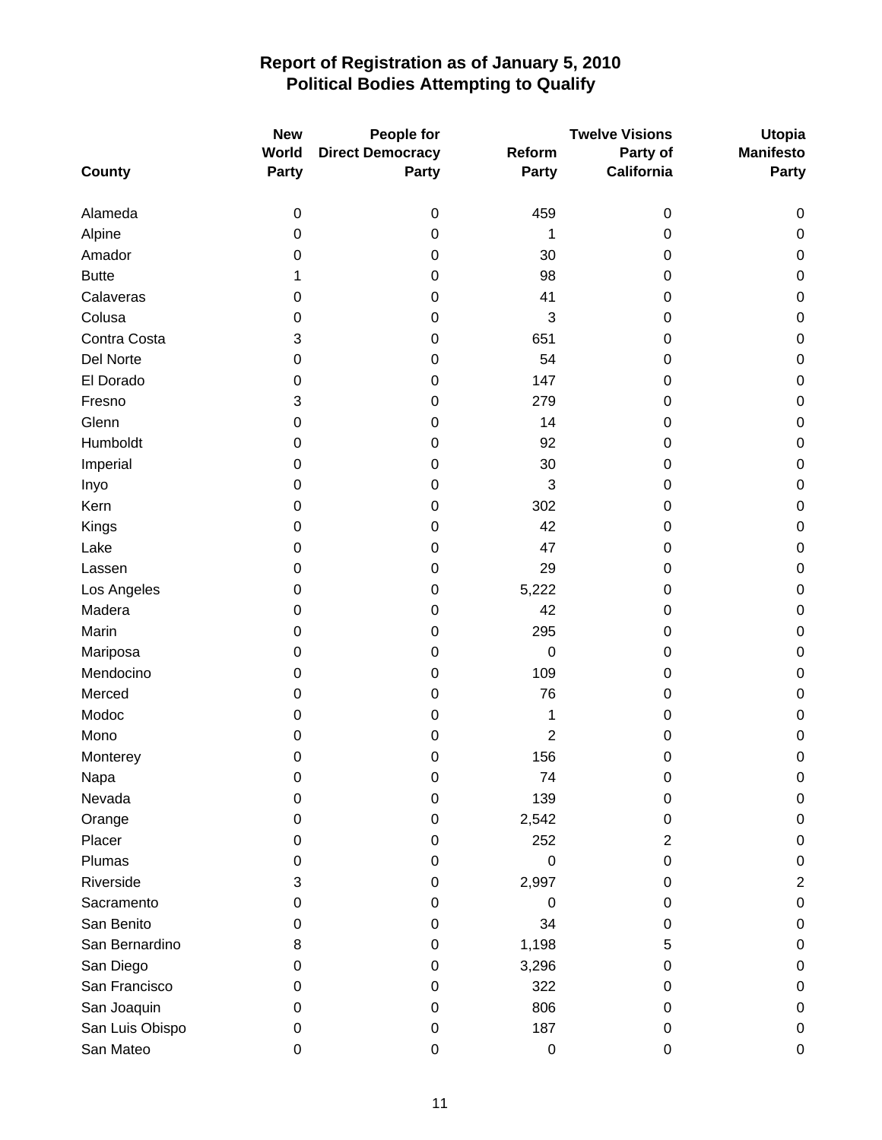|                 | <b>New</b>  | People for              |                | <b>Twelve Visions</b> | <b>Utopia</b>    |
|-----------------|-------------|-------------------------|----------------|-----------------------|------------------|
|                 | World       | <b>Direct Democracy</b> | Reform         | Party of              | <b>Manifesto</b> |
| <b>County</b>   | Party       | <b>Party</b>            | Party          | California            | <b>Party</b>     |
| Alameda         | $\mathbf 0$ | $\pmb{0}$               | 459            | $\pmb{0}$             | 0                |
| Alpine          | 0           | 0                       | 1              | 0                     | 0                |
| Amador          | 0           | 0                       | 30             | 0                     | $\pmb{0}$        |
| <b>Butte</b>    | 1           | 0                       | 98             | 0                     | $\pmb{0}$        |
| Calaveras       | 0           | 0                       | 41             | 0                     | $\pmb{0}$        |
| Colusa          | 0           | 0                       | 3              | 0                     | $\pmb{0}$        |
| Contra Costa    | 3           | 0                       | 651            | 0                     | $\pmb{0}$        |
| Del Norte       | 0           | 0                       | 54             | 0                     | $\pmb{0}$        |
| El Dorado       | 0           | 0                       | 147            | 0                     | $\pmb{0}$        |
| Fresno          | 3           | 0                       | 279            | 0                     | $\mathbf 0$      |
| Glenn           | 0           | 0                       | 14             | 0                     | $\pmb{0}$        |
| Humboldt        | 0           | 0                       | 92             | 0                     | $\pmb{0}$        |
| Imperial        | 0           | 0                       | 30             | 0                     | $\pmb{0}$        |
| Inyo            | 0           | 0                       | 3              | 0                     | $\pmb{0}$        |
| Kern            | 0           | 0                       | 302            | 0                     | $\pmb{0}$        |
| Kings           | 0           | 0                       | 42             | 0                     | $\pmb{0}$        |
| Lake            | 0           | 0                       | 47             | 0                     | $\pmb{0}$        |
| Lassen          | 0           | 0                       | 29             | 0                     | $\pmb{0}$        |
| Los Angeles     | 0           | 0                       | 5,222          | 0                     | $\pmb{0}$        |
| Madera          | 0           | 0                       | 42             | 0                     | $\pmb{0}$        |
| Marin           | 0           | 0                       | 295            | 0                     | $\pmb{0}$        |
| Mariposa        | 0           | 0                       | $\mathbf 0$    | 0                     | $\pmb{0}$        |
| Mendocino       | 0           | 0                       | 109            | 0                     | $\pmb{0}$        |
| Merced          | 0           | 0                       | 76             | 0                     | $\pmb{0}$        |
| Modoc           | 0           | 0                       | 1              | 0                     | $\pmb{0}$        |
| Mono            | 0           | 0                       | $\overline{c}$ | 0                     | $\pmb{0}$        |
| Monterey        | 0           | 0                       | 156            | 0                     | $\pmb{0}$        |
| Napa            | 0           | 0                       | 74             | 0                     | 0                |
| Nevada          | 0           | 0                       | 139            | 0                     | $\pmb{0}$        |
| Orange          | 0           | 0                       | 2,542          | 0                     | $\pmb{0}$        |
| Placer          | 0           | 0                       | 252            | $\overline{2}$        | $\pmb{0}$        |
| Plumas          | 0           | 0                       | 0              | 0                     | $\pmb{0}$        |
| Riverside       | 3           | 0                       | 2,997          | 0                     | $\overline{2}$   |
| Sacramento      | 0           | 0                       | 0              | 0                     | $\pmb{0}$        |
| San Benito      | 0           | 0                       | 34             | 0                     | $\pmb{0}$        |
| San Bernardino  | 8           | 0                       | 1,198          | 5                     | $\pmb{0}$        |
| San Diego       | 0           | 0                       | 3,296          | 0                     | $\pmb{0}$        |
| San Francisco   | 0           | 0                       | 322            | 0                     | 0                |
| San Joaquin     | 0           | 0                       | 806            | 0                     | $\pmb{0}$        |
| San Luis Obispo | 0           | 0                       | 187            | 0                     | $\pmb{0}$        |
| San Mateo       | $\mathbf 0$ | $\pmb{0}$               | 0              | $\pmb{0}$             | $\pmb{0}$        |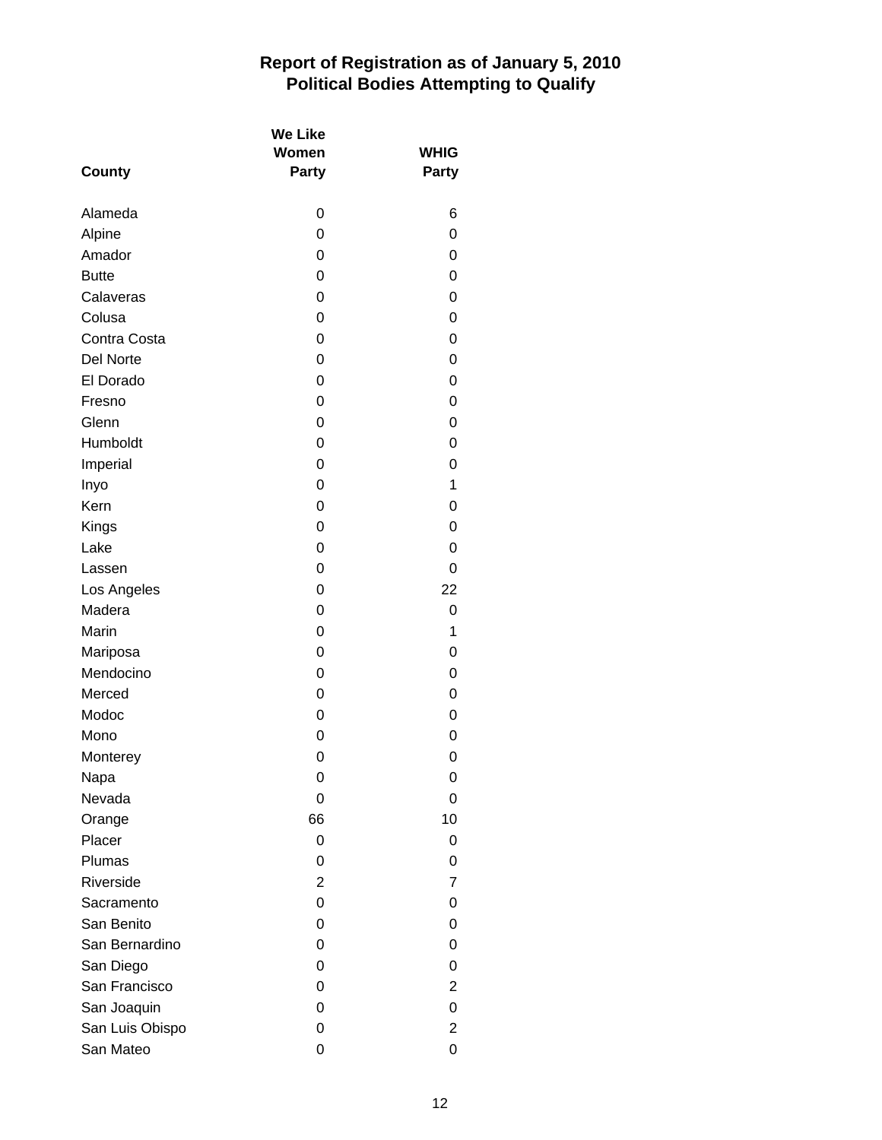| <b>County</b>   | <b>We Like</b><br>Women<br>Party | <b>WHIG</b><br>Party |
|-----------------|----------------------------------|----------------------|
|                 |                                  |                      |
| Alameda         | 0                                | 6                    |
| Alpine          | 0                                | 0                    |
| Amador          | 0                                | 0                    |
| <b>Butte</b>    | 0                                | 0                    |
| Calaveras       | 0                                | 0                    |
| Colusa          | 0                                | 0                    |
| Contra Costa    | 0                                | 0                    |
| Del Norte       | 0                                | 0                    |
| El Dorado       | 0                                | 0                    |
| Fresno          | 0                                | 0                    |
| Glenn           | 0                                | 0                    |
| Humboldt        | 0                                | 0                    |
| Imperial        | 0                                | 0                    |
| Inyo            | 0                                | 1                    |
| Kern            | 0                                | 0                    |
| Kings           | 0                                | 0                    |
| Lake            | 0                                | 0                    |
| Lassen          | 0                                | 0                    |
| Los Angeles     | 0                                | 22                   |
| Madera          | 0                                | 0                    |
| Marin           | 0                                | 1                    |
| Mariposa        | 0                                | 0                    |
| Mendocino       | 0                                | 0                    |
| Merced          | 0                                | 0                    |
| Modoc           | 0                                | 0                    |
| Mono            | 0                                | 0                    |
| Monterey        | 0                                | 0                    |
| Napa            | 0                                | 0                    |
| Nevada          | 0                                | 0                    |
| Orange          | 66                               | 10                   |
| Placer          | 0                                | 0                    |
| Plumas          | 0                                | 0                    |
| Riverside       | $\overline{2}$                   | $\overline{7}$       |
| Sacramento      | 0                                | 0                    |
| San Benito      | 0                                | 0                    |
| San Bernardino  | 0                                | 0                    |
| San Diego       | 0                                | 0                    |
| San Francisco   | 0                                | $\overline{2}$       |
| San Joaquin     | 0                                | 0                    |
| San Luis Obispo | 0                                | $\overline{2}$       |
| San Mateo       | 0                                | 0                    |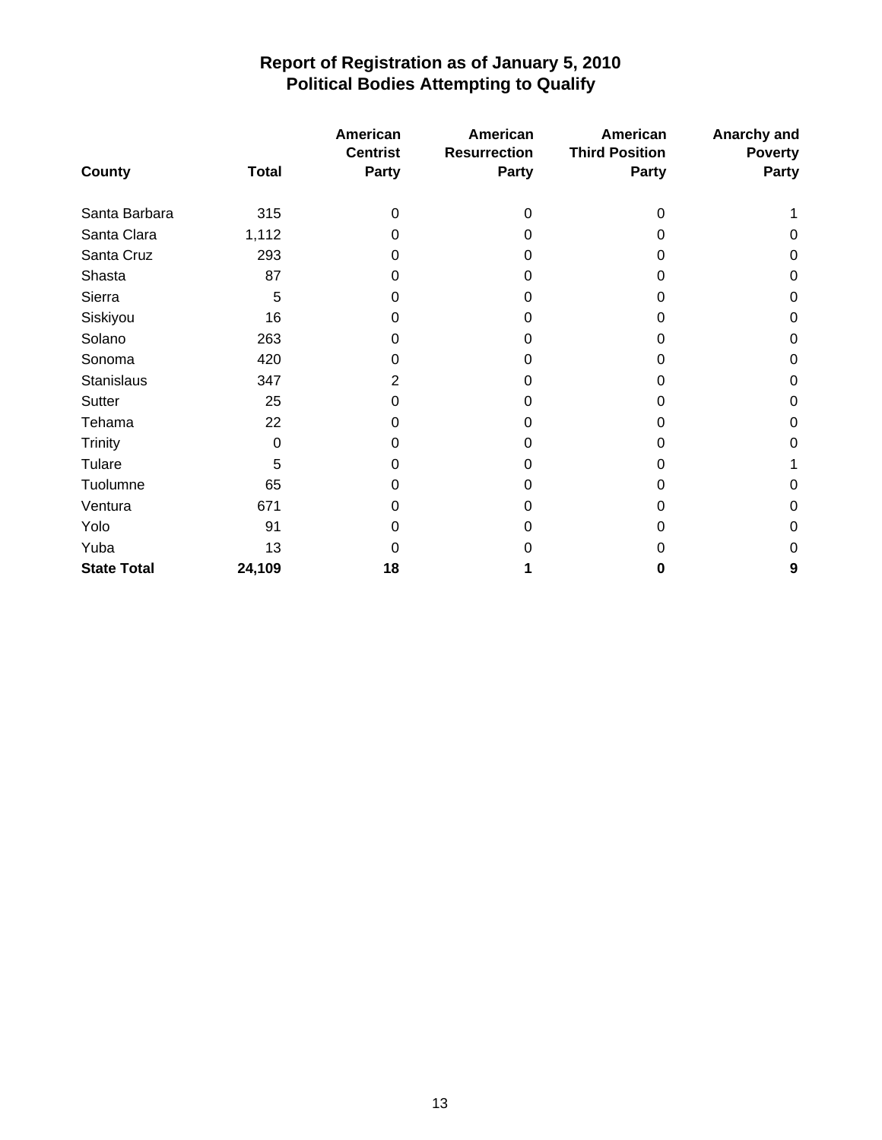|                    |              | American<br><b>Centrist</b> | American<br><b>Resurrection</b> | American<br><b>Third Position</b> | Anarchy and<br><b>Poverty</b> |
|--------------------|--------------|-----------------------------|---------------------------------|-----------------------------------|-------------------------------|
| County             | <b>Total</b> | <b>Party</b>                | <b>Party</b>                    | <b>Party</b>                      | Party                         |
| Santa Barbara      | 315          | 0                           | 0                               | 0                                 |                               |
| Santa Clara        | 1,112        | 0                           | 0                               | Ω                                 | 0                             |
| Santa Cruz         | 293          | 0                           | 0                               | 0                                 | 0                             |
| Shasta             | 87           | U                           | 0                               | Ω                                 | $\Omega$                      |
| Sierra             | 5            | 0                           | 0                               | 0                                 | 0                             |
| Siskiyou           | 16           | O                           | O                               | O                                 | 0                             |
| Solano             | 263          | 0                           | O                               | Ω                                 | 0                             |
| Sonoma             | 420          | U                           | O                               | O                                 | $\Omega$                      |
| <b>Stanislaus</b>  | 347          | 2                           | 0                               | 0                                 | 0                             |
| Sutter             | 25           | 0                           | O                               | Ω                                 | 0                             |
| Tehama             | 22           | 0                           | 0                               | Ω                                 | 0                             |
| <b>Trinity</b>     | 0            | O                           | 0                               | O                                 | 0                             |
| Tulare             | 5            | O                           | 0                               |                                   |                               |
| Tuolumne           | 65           | 0                           | O                               | Ω                                 | 0                             |
| Ventura            | 671          |                             | O                               | O                                 | $\Omega$                      |
| Yolo               | 91           | U                           | O                               | O                                 | 0                             |
| Yuba               | 13           |                             |                                 |                                   | 0                             |
| <b>State Total</b> | 24,109       | 18                          |                                 | 0                                 | 9                             |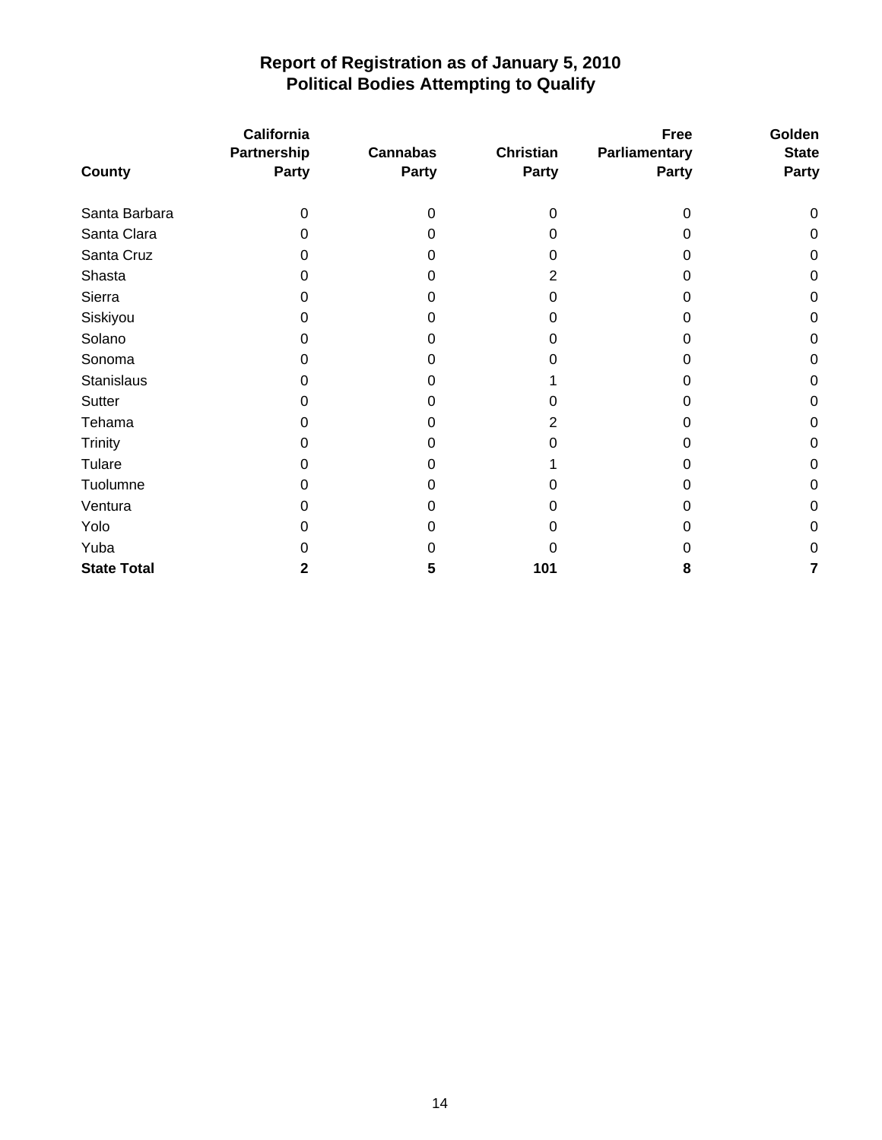|                    | <b>California</b><br>Partnership | <b>Cannabas</b> | <b>Christian</b> | Free<br>Parliamentary | Golden<br><b>State</b> |
|--------------------|----------------------------------|-----------------|------------------|-----------------------|------------------------|
| County             | <b>Party</b>                     | Party           | Party            | <b>Party</b>          | <b>Party</b>           |
| Santa Barbara      | $\Omega$                         | 0               | 0                | 0                     | 0                      |
| Santa Clara        | 0                                | 0               | Ω                | 0                     | 0                      |
| Santa Cruz         | 0                                |                 | O                | O                     | $\pmb{0}$              |
| Shasta             | 0                                | 0               | 2                | Ω                     | 0                      |
| Sierra             | 0                                | 0               | 0                | 0                     | 0                      |
| Siskiyou           | 0                                | O               |                  |                       | 0                      |
| Solano             | 0                                | 0               | O                | O                     | 0                      |
| Sonoma             | 0                                | O               | O                | Ω                     | 0                      |
| <b>Stanislaus</b>  | 0                                | O               |                  | O                     | 0                      |
| Sutter             | 0                                | O               |                  | O                     | 0                      |
| Tehama             | 0                                | 0               | 2                | 0                     | 0                      |
| Trinity            | 0                                | 0               | U                | O                     | 0                      |
| Tulare             | 0                                |                 |                  | O                     | 0                      |
| Tuolumne           | O                                | 0               |                  | O                     | 0                      |
| Ventura            | O                                | 0               | U                | 0                     | 0                      |
| Yolo               | 0                                |                 |                  |                       | 0                      |
| Yuba               | O                                | O               |                  | 0                     | $\pmb{0}$              |
| <b>State Total</b> | 2                                | 5               | 101              | 8                     | 7                      |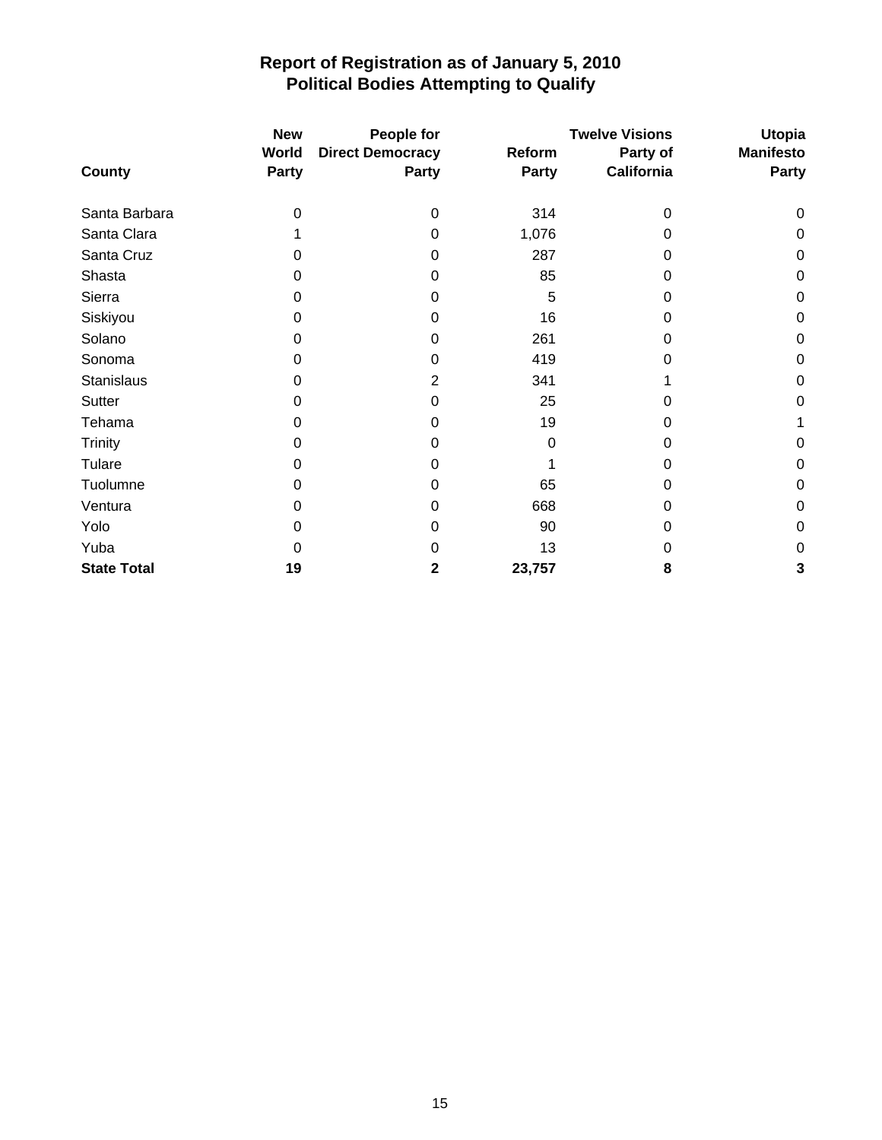|                    | <b>New</b><br>World | People for<br><b>Direct Democracy</b> | Reform       | <b>Twelve Visions</b><br>Party of | <b>Utopia</b><br><b>Manifesto</b> |
|--------------------|---------------------|---------------------------------------|--------------|-----------------------------------|-----------------------------------|
| County             | <b>Party</b>        | <b>Party</b>                          | <b>Party</b> | <b>California</b>                 | Party                             |
| Santa Barbara      | 0                   | 0                                     | 314          | $\Omega$                          | 0                                 |
| Santa Clara        |                     | 0                                     | 1,076        | $\Omega$                          | 0                                 |
| Santa Cruz         | 0                   | 0                                     | 287          | 0                                 | $\mathbf 0$                       |
| Shasta             | 0                   | 0                                     | 85           | 0                                 | 0                                 |
| Sierra             | 0                   | 0                                     | 5            | 0                                 | 0                                 |
| Siskiyou           | 0                   | 0                                     | 16           | 0                                 | $\mathbf 0$                       |
| Solano             | 0                   | 0                                     | 261          | 0                                 | $\mathbf 0$                       |
| Sonoma             | 0                   | 0                                     | 419          | 0                                 | $\mathbf 0$                       |
| Stanislaus         | 0                   | 2                                     | 341          |                                   | $\Omega$                          |
| Sutter             | 0                   | 0                                     | 25           | O                                 | 0                                 |
| Tehama             | 0                   | 0                                     | 19           | 0                                 |                                   |
| <b>Trinity</b>     | 0                   | 0                                     | 0            | 0                                 | 0                                 |
| Tulare             | 0                   | 0                                     |              | 0                                 | $\mathbf 0$                       |
| Tuolumne           | 0                   | 0                                     | 65           | 0                                 | $\mathbf 0$                       |
| Ventura            | 0                   | 0                                     | 668          | 0                                 | $\mathbf 0$                       |
| Yolo               | 0                   | 0                                     | 90           | O                                 | $\mathbf 0$                       |
| Yuba               | 0                   | 0                                     | 13           | 0                                 | $\mathbf 0$                       |
| <b>State Total</b> | 19                  | 2                                     | 23,757       | 8                                 | 3                                 |